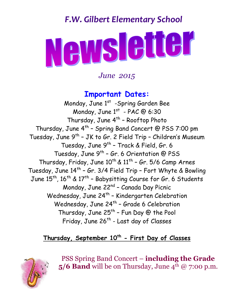## *F.W. Gilbert Elementary School*



*June 2015*

### **Important Dates:**

Monday, June 1<sup>st</sup> -Spring Garden Bee Monday, June  $1^{st}$  - PAC @ 6:30 Thursday, June 4<sup>th</sup> - Rooftop Photo Thursday, June 4<sup>th</sup> - Spring Band Concert @ PSS 7:00 pm Tuesday, June 9<sup>th</sup> - JK to Gr. 2 Field Trip - Children's Museum Tuesday, June 9<sup>th</sup> - Track & Field, Gr. 6 Tuesday, June 9<sup>th</sup> - Gr. 6 Orientation @ PSS Thursday, Friday, June  $10^{\text{th}}$  &  $11^{\text{th}}$  - Gr. 5/6 Camp Arnes Tuesday, June 14<sup>th</sup> - Gr. 3/4 Field Trip - Fort Whyte & Bowling June  $15^{\text{th}}$ ,  $16^{\text{th}}$  &  $17^{\text{th}}$  – Babysitting Course for Gr. 6 Students Monday, June 22<sup>nd</sup> - Canada Day Picnic Wednesday, June 24<sup>th</sup> - Kindergarten Celebration Wednesday, June 24<sup>th</sup> - Grade 6 Celebration Thursday, June 25<sup>th</sup> - Fun Day @ the Pool Friday, June 26<sup>th</sup> - Last day of Classes

#### **Thursday, September 10th - First Day of Classes**



PSS Spring Band Concert – **including the Grade 5/6 Band** will be on Thursday, June  $4^{th}$  @ 7:00 p.m.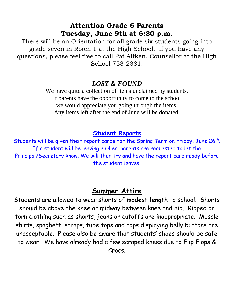#### **Attention Grade 6 Parents Tuesday, June 9th at 6:30 p.m.**

There will be an Orientation for all grade six students going into grade seven in Room 1 at the High School. If you have any questions, please feel free to call Pat Aitken, Counsellor at the High School 753-2381.

#### *LOST & FOUND*

We have quite a collection of items unclaimed by students. If parents have the opportunity to come to the school we would appreciate you going through the items. Any items left after the end of June will be donated.

#### **Student Reports**

Students will be given their report cards for the Spring Term on Friday, June 26<sup>th</sup>. If a student will be leaving earlier, parents are requested to let the Principal/Secretary know. We will then try and have the report card ready before the student leaves.

#### **Summer Attire**

Students are allowed to wear shorts of **modest length** to school. Shorts should be above the knee or midway between knee and hip. Ripped or torn clothing such as shorts, jeans or cutoffs are inappropriate. Muscle shirts, spaghetti straps, tube tops and tops displaying belly buttons are unacceptable. Please also be aware that students' shoes should be safe to wear. We have already had a few scraped knees due to Flip Flops & Crocs.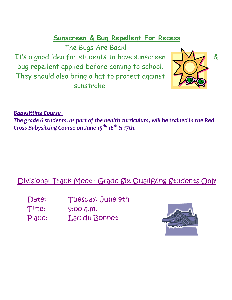## **Sunscreen & Bug Repellent For Recess**

The Bugs Are Back!

It's a good idea for students to have sunscreen  $\Box$ bug repellent applied before coming to school. They should also bring a hat to protect against sunstroke.



*Babysitting Course* 

*The grade 6 students, as part of the health curriculum, will be trained in the Red Cross Babysitting Course on June 15 th, 16 th & 17th.* 

## Divisional Track Meet - Grade Six Qualifying Students Only

Date: Tuesday, June 9th Time: 9:00 a.m. Place: Lac du Bonnet

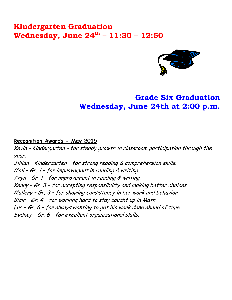## **Kindergarten Graduation Wednesday, June 24 th – 11:30 – 12:50**



## **Grade Six Graduation Wednesday, June 24th at 2:00 p.m.**

#### **Recognition Awards - May 2015**

Kevin – Kindergarten – for steady growth in classroom participation through the year. Jillian – Kindergarten – for strong reading & comprehension skills. Mali – Gr. 1 – for improvement in reading & writing. Aryn – Gr. 1 – for improvement in reading & writing. Kenny – Gr. 3 – for accepting responsibility and making better choices. Mallery – Gr. 3 – for showing consistency in her work and behavior. Blair – Gr. 4 – for working hard to stay caught up in Math. Luc – Gr. 6 – for always wanting to get his work done ahead of time. Sydney – Gr. 6 – for excellent organizational skills.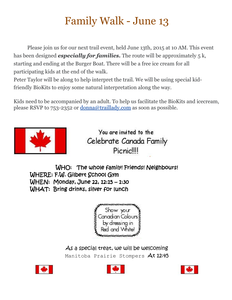# Family Walk - June 13

Please join us for our next trail event, held June 13th, 2015 at 10 AM. This event has been designed *especially for families.* The route will be approximately 5 k, starting and ending at the Burger Boat. There will be a free ice cream for all participating kids at the end of the walk.

Peter Taylor will be along to help interpret the trail. We will be using special kidfriendly BioKits to enjoy some natural interpretation along the way.

Kids need to be accompanied by an adult. To help us facilitate the BioKits and icecream, please RSVP to 753-2352 or [donna@traillady.com](mailto:donna@traillady.com) as soon as possible.



You are invited to the Celebrate Canada Family Picnic!!!!

WHO: The whole family! Friends! Neighbours! WHERE: F.W. Gilbert School Gym WHEN: Monday, June 22, 12:15 – 1:30 WHAT: Bring drinks, silver for lunch



As a special treat, we will be welcoming Manitoba Prairie Stompers At 12:45